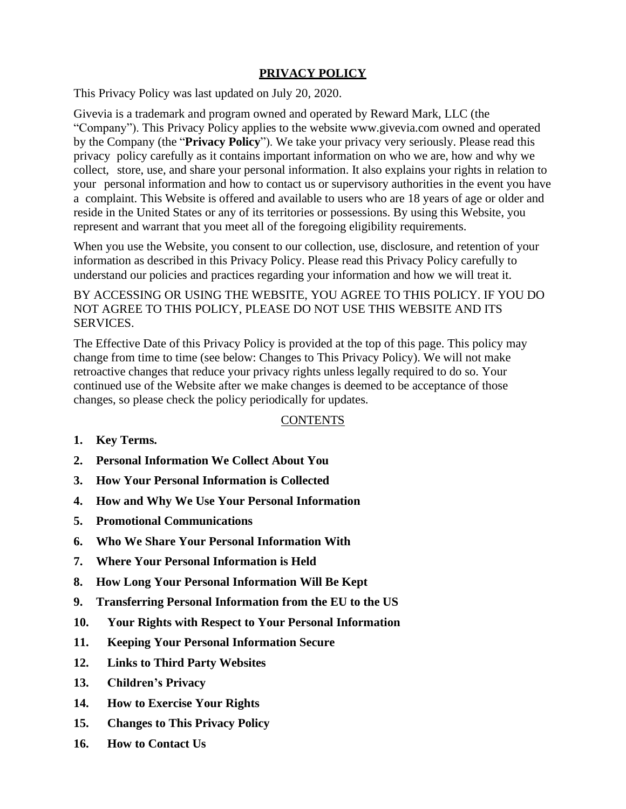## **PRIVACY POLICY**

This Privacy Policy was last updated on July 20, 2020.

Givevia is a trademark and program owned and operated by Reward Mark, LLC (the "Company"). This Privacy Policy applies to the website [www.givevia.com](http://www.givevia.com/) owned and operated by the Company (the "**Privacy Policy**"). We take your privacy very seriously. Please read this privacy policy carefully as it contains important information on who we are, how and why we collect, store, use, and share your personal information. It also explains your rights in relation to your personal information and how to contact us or supervisory authorities in the event you have a complaint. This Website is offered and available to users who are 18 years of age or older and reside in the United States or any of its territories or possessions. By using this Website, you represent and warrant that you meet all of the foregoing eligibility requirements.

When you use the Website, you consent to our collection, use, disclosure, and retention of your information as described in this Privacy Policy. Please read this Privacy Policy carefully to understand our policies and practices regarding your information and how we will treat it.

BY ACCESSING OR USING THE WEBSITE, YOU AGREE TO THIS POLICY. IF YOU DO NOT AGREE TO THIS POLICY, PLEASE DO NOT USE THIS WEBSITE AND ITS SERVICES.

The Effective Date of this Privacy Policy is provided at the top of this page. This policy may change from time to time (see below: Changes to This Privacy Policy). We will not make retroactive changes that reduce your privacy rights unless legally required to do so. Your continued use of the Website after we make changes is deemed to be acceptance of those changes, so please check the policy periodically for updates.

## **CONTENTS**

- **1. [Key Terms.](#page-1-0)**
- **2. Personal [Information](#page-1-1) We Collect About You**
- **3. How Your Personal [Information is Collected](#page-1-2)**
- **4. [How and Why We](#page-2-0) Use Your Personal Information**
- **5. Promotional [Communications](#page-3-0)**
- **6. Who We [Share Your Personal](#page-3-1) Information With**
- **7. [Where Your Personal](#page-4-0) Information is Held**
- **8. [How Long Your Personal](#page-4-1) Information Will Be Kept**
- **9. Transferring Personal [Information from](#page-5-0) the EU to the US**
- **10. [Your Rights with](#page-5-1) Respect to Your Personal Information**
- **11. Keeping Your Personal [Information Secure](#page-5-2)**
- **12. [Links to Third](#page-5-3) Party Websites**
- **13. [Children's](#page-6-0) Privacy**
- **14. How to [Exercise](#page-6-1) Your Rights**
- **15. [Changes to This Privacy](#page-6-2) Policy**
- **16. How to [Contact](#page-6-3) Us**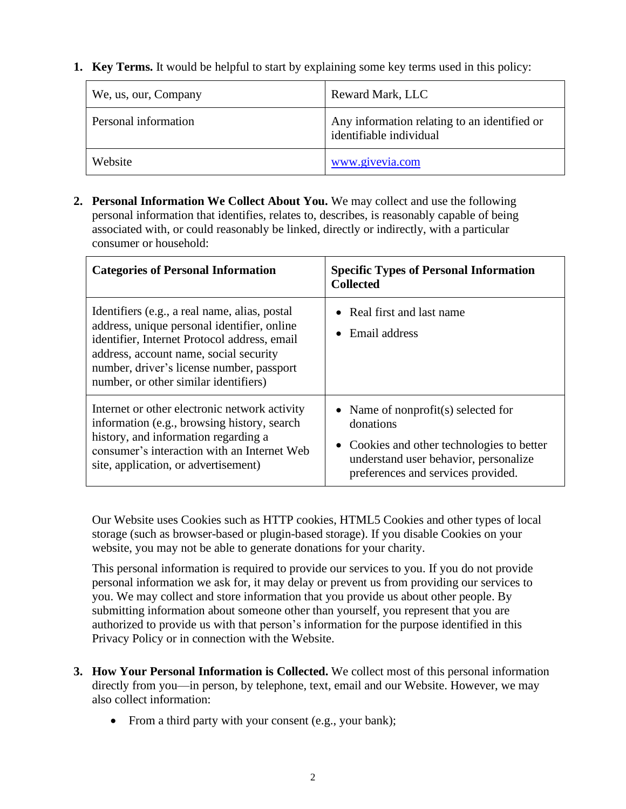<span id="page-1-0"></span>**1. Key Terms.** It would be helpful to start by explaining some key terms used in this policy:

| We, us, our, Company | Reward Mark, LLC                                                        |
|----------------------|-------------------------------------------------------------------------|
| Personal information | Any information relating to an identified or<br>identifiable individual |
| Website              | www.givevia.com                                                         |

<span id="page-1-1"></span>**2. Personal Information We Collect About You.** We may collect and use the following personal information that identifies, relates to, describes, is reasonably capable of being associated with, or could reasonably be linked, directly or indirectly, with a particular consumer or household:

| <b>Categories of Personal Information</b>                                                                                                                                                                                                                                    | <b>Specific Types of Personal Information</b><br><b>Collected</b>                                                                                                             |
|------------------------------------------------------------------------------------------------------------------------------------------------------------------------------------------------------------------------------------------------------------------------------|-------------------------------------------------------------------------------------------------------------------------------------------------------------------------------|
| Identifiers (e.g., a real name, alias, postal<br>address, unique personal identifier, online<br>identifier, Internet Protocol address, email<br>address, account name, social security<br>number, driver's license number, passport<br>number, or other similar identifiers) | • Real first and last name<br>Email address<br>$\bullet$                                                                                                                      |
| Internet or other electronic network activity<br>information (e.g., browsing history, search<br>history, and information regarding a<br>consumer's interaction with an Internet Web<br>site, application, or advertisement)                                                  | • Name of nonprofit(s) selected for<br>donations<br>• Cookies and other technologies to better<br>understand user behavior, personalize<br>preferences and services provided. |

Our Website uses Cookies such as HTTP cookies, HTML5 Cookies and other types of local storage (such as browser-based or plugin-based storage). If you disable Cookies on your website, you may not be able to generate donations for your charity.

This personal information is required to provide our services to you. If you do not provide personal information we ask for, it may delay or prevent us from providing our services to you. We may collect and store information that you provide us about other people. By submitting information about someone other than yourself, you represent that you are authorized to provide us with that person's information for the purpose identified in this Privacy Policy or in connection with the Website.

- <span id="page-1-2"></span>**3. How Your Personal Information is Collected.** We collect most of this personal information directly from you—in person, by telephone, text, email and our Website. However, we may also collect information:
	- From a third party with your consent (e.g., your bank);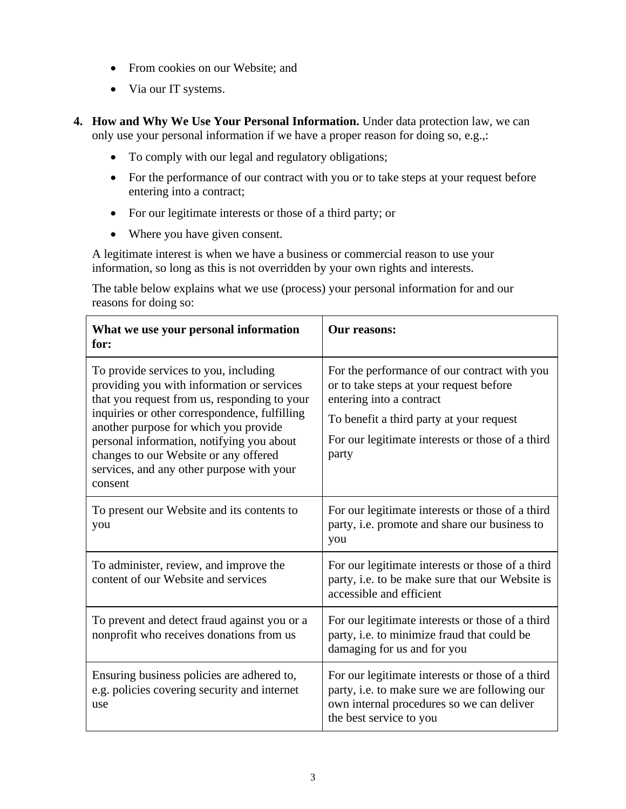- From cookies on our Website; and
- Via our IT systems.
- <span id="page-2-0"></span>**4. How and Why We Use Your Personal Information.** Under data protection law, we can only use your personal information if we have a proper reason for doing so, e.g.,:
	- To comply with our legal and regulatory obligations;
	- For the performance of our contract with you or to take steps at your request before entering into a contract;
	- For our legitimate interests or those of a third party; or
	- Where you have given consent.

A legitimate interest is when we have a business or commercial reason to use your information, so long as this is not overridden by your own rights and interests.

The table below explains what we use (process) your personal information for and our reasons for doing so:

| What we use your personal information<br>for:                                                                                                                                                                                                                                                                                                                               | Our reasons:                                                                                                                                                                                                                 |
|-----------------------------------------------------------------------------------------------------------------------------------------------------------------------------------------------------------------------------------------------------------------------------------------------------------------------------------------------------------------------------|------------------------------------------------------------------------------------------------------------------------------------------------------------------------------------------------------------------------------|
| To provide services to you, including<br>providing you with information or services<br>that you request from us, responding to your<br>inquiries or other correspondence, fulfilling<br>another purpose for which you provide<br>personal information, notifying you about<br>changes to our Website or any offered<br>services, and any other purpose with your<br>consent | For the performance of our contract with you<br>or to take steps at your request before<br>entering into a contract<br>To benefit a third party at your request<br>For our legitimate interests or those of a third<br>party |
| To present our Website and its contents to<br>you                                                                                                                                                                                                                                                                                                                           | For our legitimate interests or those of a third<br>party, i.e. promote and share our business to<br>you                                                                                                                     |
| To administer, review, and improve the<br>content of our Website and services                                                                                                                                                                                                                                                                                               | For our legitimate interests or those of a third<br>party, i.e. to be make sure that our Website is<br>accessible and efficient                                                                                              |
| To prevent and detect fraud against you or a<br>nonprofit who receives donations from us                                                                                                                                                                                                                                                                                    | For our legitimate interests or those of a third<br>party, i.e. to minimize fraud that could be<br>damaging for us and for you                                                                                               |
| Ensuring business policies are adhered to,<br>e.g. policies covering security and internet<br>use                                                                                                                                                                                                                                                                           | For our legitimate interests or those of a third<br>party, i.e. to make sure we are following our<br>own internal procedures so we can deliver<br>the best service to you                                                    |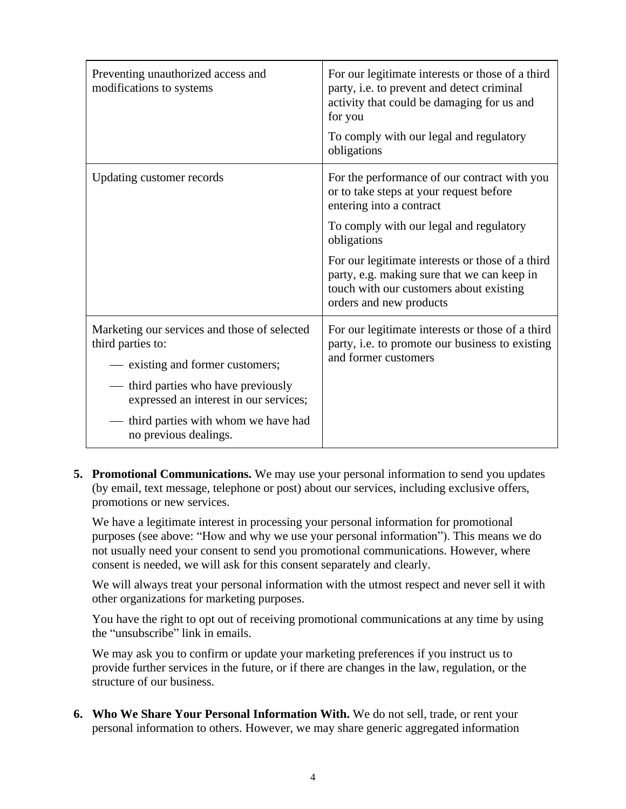| Preventing unauthorized access and<br>modifications to systems              | For our legitimate interests or those of a third<br>party, i.e. to prevent and detect criminal<br>activity that could be damaging for us and<br>for you<br>To comply with our legal and regulatory<br>obligations |
|-----------------------------------------------------------------------------|-------------------------------------------------------------------------------------------------------------------------------------------------------------------------------------------------------------------|
| Updating customer records                                                   | For the performance of our contract with you<br>or to take steps at your request before<br>entering into a contract                                                                                               |
|                                                                             | To comply with our legal and regulatory<br>obligations                                                                                                                                                            |
|                                                                             | For our legitimate interests or those of a third<br>party, e.g. making sure that we can keep in<br>touch with our customers about existing<br>orders and new products                                             |
| Marketing our services and those of selected<br>third parties to:           | For our legitimate interests or those of a third<br>party, i.e. to promote our business to existing<br>and former customers                                                                                       |
| - existing and former customers;                                            |                                                                                                                                                                                                                   |
| third parties who have previously<br>expressed an interest in our services; |                                                                                                                                                                                                                   |
| third parties with whom we have had<br>no previous dealings.                |                                                                                                                                                                                                                   |

<span id="page-3-0"></span>**5. Promotional Communications.** We may use your personal information to send you updates (by email, text message, telephone or post) about our services, including exclusive offers, promotions or new services.

We have a legitimate interest in processing your personal information for promotional purposes (see above: "How and why we use your personal information"). This means we do not usually need your consent to send you promotional communications. However, where consent is needed, we will ask for this consent separately and clearly.

We will always treat your personal information with the utmost respect and never sell it with other organizations for marketing purposes.

You have the right to opt out of receiving promotional communications at any time by using the "unsubscribe" link in emails.

We may ask you to confirm or update your marketing preferences if you instruct us to provide further services in the future, or if there are changes in the law, regulation, or the structure of our business.

<span id="page-3-1"></span>**6. Who We Share Your Personal Information With.** We do not sell, trade, or rent your personal information to others. However, we may share generic aggregated information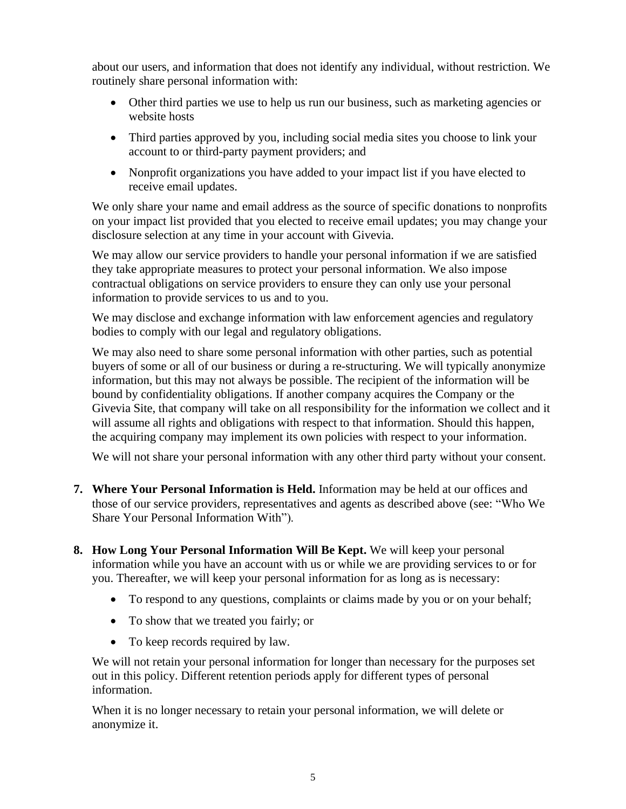about our users, and information that does not identify any individual, without restriction. We routinely share personal information with:

- Other third parties we use to help us run our business, such as marketing agencies or website hosts
- Third parties approved by you, including social media sites you choose to link your account to or third-party payment providers; and
- Nonprofit organizations you have added to your impact list if you have elected to receive email updates.

We only share your name and email address as the source of specific donations to nonprofits on your impact list provided that you elected to receive email updates; you may change your disclosure selection at any time in your account with Givevia.

We may allow our service providers to handle your personal information if we are satisfied they take appropriate measures to protect your personal information. We also impose contractual obligations on service providers to ensure they can only use your personal information to provide services to us and to you.

We may disclose and exchange information with law enforcement agencies and regulatory bodies to comply with our legal and regulatory obligations.

We may also need to share some personal information with other parties, such as potential buyers of some or all of our business or during a re-structuring. We will typically anonymize information, but this may not always be possible. The recipient of the information will be bound by confidentiality obligations. If another company acquires the Company or the Givevia Site, that company will take on all responsibility for the information we collect and it will assume all rights and obligations with respect to that information. Should this happen, the acquiring company may implement its own policies with respect to your information.

We will not share your personal information with any other third party without your consent.

- <span id="page-4-0"></span>**7. Where Your Personal Information is Held.** Information may be held at our offices and those of our service providers, representatives and agents as described above (see: "Who We Share Your Personal Information With").
- <span id="page-4-1"></span>**8. How Long Your Personal Information Will Be Kept.** We will keep your personal information while you have an account with us or while we are providing services to or for you. Thereafter, we will keep your personal information for as long as is necessary:
	- To respond to any questions, complaints or claims made by you or on your behalf;
	- To show that we treated you fairly; or
	- To keep records required by law.

We will not retain your personal information for longer than necessary for the purposes set out in this policy. Different retention periods apply for different types of personal information.

When it is no longer necessary to retain your personal information, we will delete or anonymize it.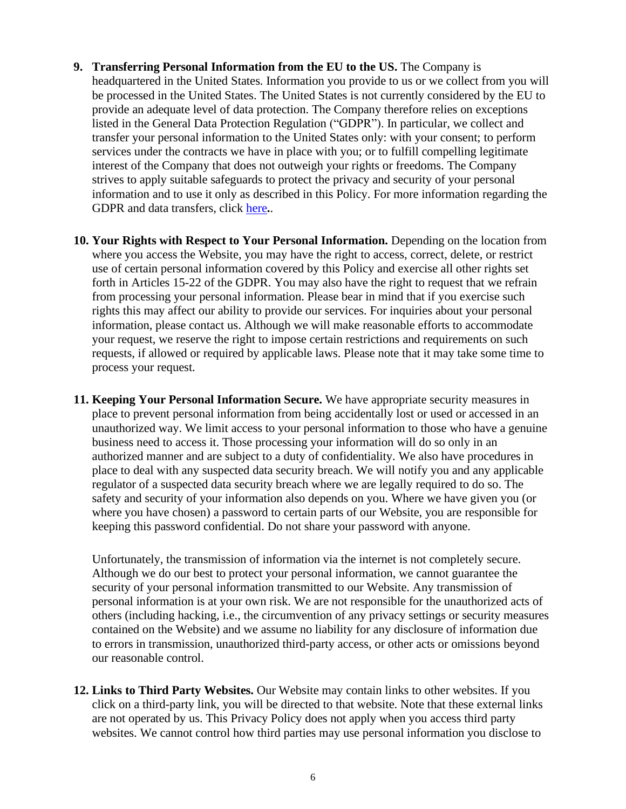- <span id="page-5-0"></span>**9. Transferring Personal Information from the EU to the US.** The Company is headquartered in the United States. Information you provide to us or we collect from you will be processed in the United States. The United States is not currently considered by the EU to provide an adequate level of data protection. The Company therefore relies on exceptions listed in the General Data Protection Regulation ("GDPR"). In particular, we collect and transfer your personal information to the United States only: with your consent; to perform services under the contracts we have in place with you; or to fulfill compelling legitimate interest of the Company that does not outweigh your rights or freedoms. The Company strives to apply suitable safeguards to protect the privacy and security of your personal information and to use it only as described in this Policy. For more information regarding the GDPR and data transfers, click [here](https://ec.europa.eu/info/priorities/justice-and-fundamental-rights/data-protection/2018-reform-eu-data-protection-rules/eu-data-protection-rules_en)**.**.
- <span id="page-5-1"></span>**10. Your Rights with Respect to Your Personal Information.** Depending on the location from where you access the Website, you may have the right to access, correct, delete, or restrict use of certain personal information covered by this Policy and exercise all other rights set forth in Articles 15-22 of the GDPR. You may also have the right to request that we refrain from processing your personal information. Please bear in mind that if you exercise such rights this may affect our ability to provide our services. For inquiries about your personal information, please contact us. Although we will make reasonable efforts to accommodate your request, we reserve the right to impose certain restrictions and requirements on such requests, if allowed or required by applicable laws. Please note that it may take some time to process your request.
- <span id="page-5-2"></span>**11. Keeping Your Personal Information Secure.** We have appropriate security measures in place to prevent personal information from being accidentally lost or used or accessed in an unauthorized way. We limit access to your personal information to those who have a genuine business need to access it. Those processing your information will do so only in an authorized manner and are subject to a duty of confidentiality. We also have procedures in place to deal with any suspected data security breach. We will notify you and any applicable regulator of a suspected data security breach where we are legally required to do so. The safety and security of your information also depends on you. Where we have given you (or where you have chosen) a password to certain parts of our Website, you are responsible for keeping this password confidential. Do not share your password with anyone.

Unfortunately, the transmission of information via the internet is not completely secure. Although we do our best to protect your personal information, we cannot guarantee the security of your personal information transmitted to our Website. Any transmission of personal information is at your own risk. We are not responsible for the unauthorized acts of others (including hacking, i.e., the circumvention of any privacy settings or security measures contained on the Website) and we assume no liability for any disclosure of information due to errors in transmission, unauthorized third-party access, or other acts or omissions beyond our reasonable control.

<span id="page-5-3"></span>**12. Links to Third Party Websites.** Our Website may contain links to other websites. If you click on a third-party link, you will be directed to that website. Note that these external links are not operated by us. This Privacy Policy does not apply when you access third party websites. We cannot control how third parties may use personal information you disclose to